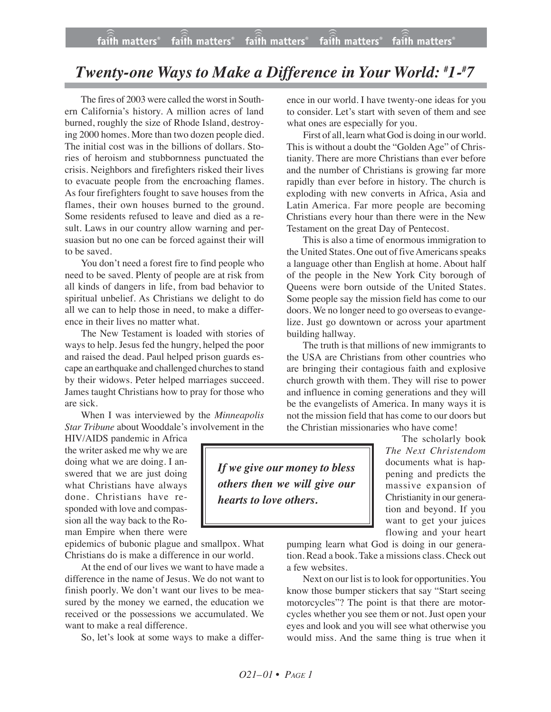## *Twenty-one Ways to Make a Difference in Your World: # 1-# 7*

The fires of 2003 were called the worst in Southern California's history. A million acres of land burned, roughly the size of Rhode Island, destroying 2000 homes. More than two dozen people died. The initial cost was in the billions of dollars. Stories of heroism and stubbornness punctuated the crisis. Neighbors and firefighters risked their lives to evacuate people from the encroaching flames. As four firefighters fought to save houses from the flames, their own houses burned to the ground. Some residents refused to leave and died as a result. Laws in our country allow warning and persuasion but no one can be forced against their will to be saved.

You don't need a forest fire to find people who need to be saved. Plenty of people are at risk from all kinds of dangers in life, from bad behavior to spiritual unbelief. As Christians we delight to do all we can to help those in need, to make a difference in their lives no matter what.

The New Testament is loaded with stories of ways to help. Jesus fed the hungry, helped the poor and raised the dead. Paul helped prison guards escape an earthquake and challenged churches to stand by their widows. Peter helped marriages succeed. James taught Christians how to pray for those who are sick.

When I was interviewed by the *Minneapolis Star Tribune* about Wooddale's involvement in the

HIV/AIDS pandemic in Africa the writer asked me why we are doing what we are doing. I answered that we are just doing what Christians have always done. Christians have responded with love and compassion all the way back to the Roman Empire when there were

epidemics of bubonic plague and smallpox. What Christians do is make a difference in our world.

At the end of our lives we want to have made a difference in the name of Jesus. We do not want to finish poorly. We don't want our lives to be measured by the money we earned, the education we received or the possessions we accumulated. We want to make a real difference.

So, let's look at some ways to make a differ-

ence in our world. I have twenty-one ideas for you to consider. Let's start with seven of them and see what ones are especially for you.

First of all, learn what God is doing in our world. This is without a doubt the "Golden Age" of Christianity. There are more Christians than ever before and the number of Christians is growing far more rapidly than ever before in history. The church is exploding with new converts in Africa, Asia and Latin America. Far more people are becoming Christians every hour than there were in the New Testament on the great Day of Pentecost.

This is also a time of enormous immigration to the United States. One out of five Americans speaks a language other than English at home. About half of the people in the New York City borough of Queens were born outside of the United States. Some people say the mission field has come to our doors. We no longer need to go overseas to evangelize. Just go downtown or across your apartment building hallway.

The truth is that millions of new immigrants to the USA are Christians from other countries who are bringing their contagious faith and explosive church growth with them. They will rise to power and influence in coming generations and they will be the evangelists of America. In many ways it is not the mission field that has come to our doors but the Christian missionaries who have come!

> The scholarly book *The Next Christendom* documents what is happening and predicts the massive expansion of Christianity in our generation and beyond. If you want to get your juices flowing and your heart

pumping learn what God is doing in our generation. Read a book. Take a missions class. Check out a few websites.

Next on our list is to look for opportunities. You know those bumper stickers that say "Start seeing motorcycles"? The point is that there are motorcycles whether you see them or not. Just open your eyes and look and you will see what otherwise you would miss. And the same thing is true when it

*If we give our money to bless others then we will give our hearts to love others.*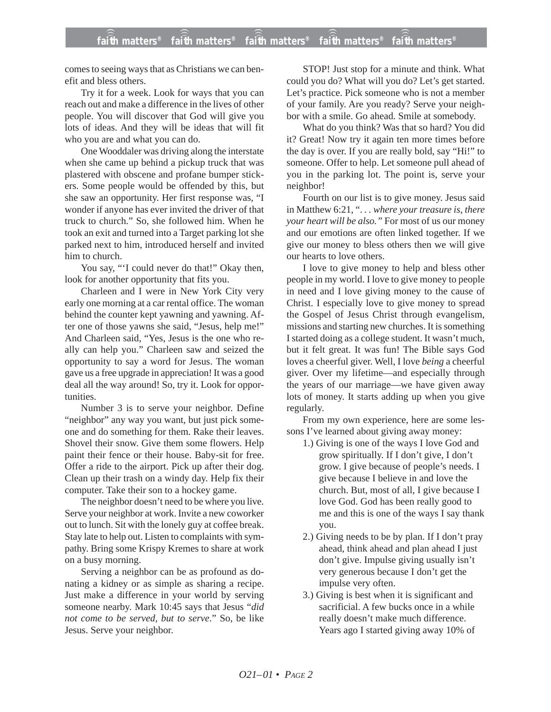comes to seeing ways that as Christians we can benefit and bless others.

Try it for a week. Look for ways that you can reach out and make a difference in the lives of other people. You will discover that God will give you lots of ideas. And they will be ideas that will fit who you are and what you can do.

One Wooddaler was driving along the interstate when she came up behind a pickup truck that was plastered with obscene and profane bumper stickers. Some people would be offended by this, but she saw an opportunity. Her first response was, "I wonder if anyone has ever invited the driver of that truck to church." So, she followed him. When he took an exit and turned into a Target parking lot she parked next to him, introduced herself and invited him to church.

You say, "'I could never do that!" Okay then, look for another opportunity that fits you.

Charleen and I were in New York City very early one morning at a car rental office. The woman behind the counter kept yawning and yawning. After one of those yawns she said, "Jesus, help me!" And Charleen said, "Yes, Jesus is the one who really can help you." Charleen saw and seized the opportunity to say a word for Jesus. The woman gave us a free upgrade in appreciation! It was a good deal all the way around! So, try it. Look for opportunities.

Number 3 is to serve your neighbor. Define "neighbor" any way you want, but just pick someone and do something for them. Rake their leaves. Shovel their snow. Give them some flowers. Help paint their fence or their house. Baby-sit for free. Offer a ride to the airport. Pick up after their dog. Clean up their trash on a windy day. Help fix their computer. Take their son to a hockey game.

The neighbor doesn't need to be where you live. Serve your neighbor at work. Invite a new coworker out to lunch. Sit with the lonely guy at coffee break. Stay late to help out. Listen to complaints with sympathy. Bring some Krispy Kremes to share at work on a busy morning.

Serving a neighbor can be as profound as donating a kidney or as simple as sharing a recipe. Just make a difference in your world by serving someone nearby. Mark 10:45 says that Jesus "*did not come to be served, but to serve*." So, be like Jesus. Serve your neighbor.

STOP! Just stop for a minute and think. What could you do? What will you do? Let's get started. Let's practice. Pick someone who is not a member of your family. Are you ready? Serve your neighbor with a smile. Go ahead. Smile at somebody.

What do you think? Was that so hard? You did it? Great! Now try it again ten more times before the day is over. If you are really bold, say "Hi!" to someone. Offer to help. Let someone pull ahead of you in the parking lot. The point is, serve your neighbor!

Fourth on our list is to give money. Jesus said in Matthew 6:21, ". *. . where your treasure is, there your heart will be also."* For most of us our money and our emotions are often linked together. If we give our money to bless others then we will give our hearts to love others.

I love to give money to help and bless other people in my world. I love to give money to people in need and I love giving money to the cause of Christ. I especially love to give money to spread the Gospel of Jesus Christ through evangelism, missions and starting new churches. It is something I started doing as a college student. It wasn't much, but it felt great. It was fun! The Bible says God loves a cheerful giver. Well, I love *being* a cheerful giver. Over my lifetime—and especially through the years of our marriage—we have given away lots of money. It starts adding up when you give regularly.

From my own experience, here are some lessons I've learned about giving away money:

- 1.) Giving is one of the ways I love God and grow spiritually. If I don't give, I don't grow. I give because of people's needs. I give because I believe in and love the church. But, most of all, I give because I love God. God has been really good to me and this is one of the ways I say thank you.
- 2.) Giving needs to be by plan. If I don't pray ahead, think ahead and plan ahead I just don't give. Impulse giving usually isn't very generous because I don't get the impulse very often.
- 3.) Giving is best when it is significant and sacrificial. A few bucks once in a while really doesn't make much difference. Years ago I started giving away 10% of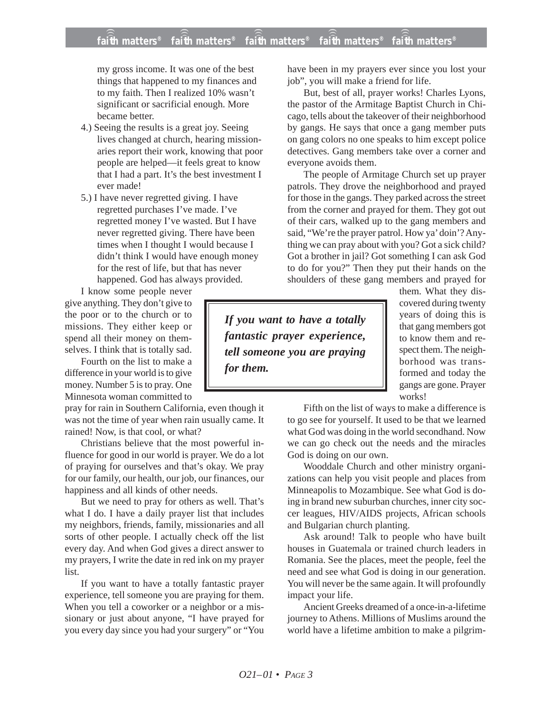my gross income. It was one of the best things that happened to my finances and to my faith. Then I realized 10% wasn't significant or sacrificial enough. More became better.

- 4.) Seeing the results is a great joy. Seeing lives changed at church, hearing missionaries report their work, knowing that poor people are helped—it feels great to know that I had a part. It's the best investment I ever made!
- 5.) I have never regretted giving. I have regretted purchases I've made. I've regretted money I've wasted. But I have never regretted giving. There have been times when I thought I would because I didn't think I would have enough money for the rest of life, but that has never happened. God has always provided.

I know some people never give anything. They don't give to the poor or to the church or to missions. They either keep or spend all their money on themselves. I think that is totally sad.

Fourth on the list to make a difference in your world is to give money. Number 5 is to pray. One Minnesota woman committed to

pray for rain in Southern California, even though it was not the time of year when rain usually came. It rained! Now, is that cool, or what?

Christians believe that the most powerful influence for good in our world is prayer. We do a lot of praying for ourselves and that's okay. We pray for our family, our health, our job, our finances, our happiness and all kinds of other needs.

But we need to pray for others as well. That's what I do. I have a daily prayer list that includes my neighbors, friends, family, missionaries and all sorts of other people. I actually check off the list every day. And when God gives a direct answer to my prayers, I write the date in red ink on my prayer list.

If you want to have a totally fantastic prayer experience, tell someone you are praying for them. When you tell a coworker or a neighbor or a missionary or just about anyone, "I have prayed for you every day since you had your surgery" or "You

have been in my prayers ever since you lost your job", you will make a friend for life.

But, best of all, prayer works! Charles Lyons, the pastor of the Armitage Baptist Church in Chicago, tells about the takeover of their neighborhood by gangs. He says that once a gang member puts on gang colors no one speaks to him except police detectives. Gang members take over a corner and everyone avoids them.

The people of Armitage Church set up prayer patrols. They drove the neighborhood and prayed for those in the gangs. They parked across the street from the corner and prayed for them. They got out of their cars, walked up to the gang members and said, "We're the prayer patrol. How ya' doin'? Anything we can pray about with you? Got a sick child? Got a brother in jail? Got something I can ask God to do for you?" Then they put their hands on the shoulders of these gang members and prayed for

*If you want to have a totally fantastic prayer experience, tell someone you are praying for them.*

them. What they discovered during twenty years of doing this is that gang members got to know them and respect them. The neighborhood was transformed and today the gangs are gone. Prayer works!

Fifth on the list of ways to make a difference is to go see for yourself. It used to be that we learned what God was doing in the world secondhand. Now we can go check out the needs and the miracles God is doing on our own.

Wooddale Church and other ministry organizations can help you visit people and places from Minneapolis to Mozambique. See what God is doing in brand new suburban churches, inner city soccer leagues, HIV/AIDS projects, African schools and Bulgarian church planting.

Ask around! Talk to people who have built houses in Guatemala or trained church leaders in Romania. See the places, meet the people, feel the need and see what God is doing in our generation. You will never be the same again. It will profoundly impact your life.

Ancient Greeks dreamed of a once-in-a-lifetime journey to Athens. Millions of Muslims around the world have a lifetime ambition to make a pilgrim-